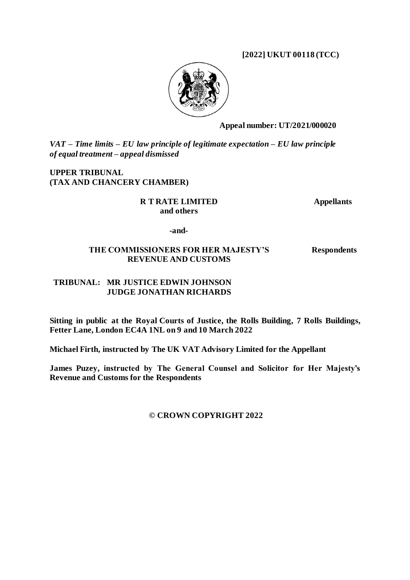**[2022] UKUT 00118 (TCC)**



**Appeal number: UT/2021/000020**

*VAT – Time limits – EU law principle of legitimate expectation – EU law principle of equal treatment – appeal dismissed*

**UPPER TRIBUNAL (TAX AND CHANCERY CHAMBER)**

> **R T RATE LIMITED and others**

**Appellants**

**-and-**

## **THE COMMISSIONERS FOR HER MAJESTY'S REVENUE AND CUSTOMS**

**Respondents**

## **TRIBUNAL: MR JUSTICE EDWIN JOHNSON JUDGE JONATHAN RICHARDS**

**Sitting in public at the Royal Courts of Justice, the Rolls Building, 7 Rolls Buildings, Fetter Lane, London EC4A 1NL on 9 and 10 March 2022**

**Michael Firth, instructed by The UK VAT Advisory Limited for the Appellant**

**James Puzey, instructed by The General Counsel and Solicitor for Her Majesty's Revenue and Customs for the Respondents**

**© CROWN COPYRIGHT 2022**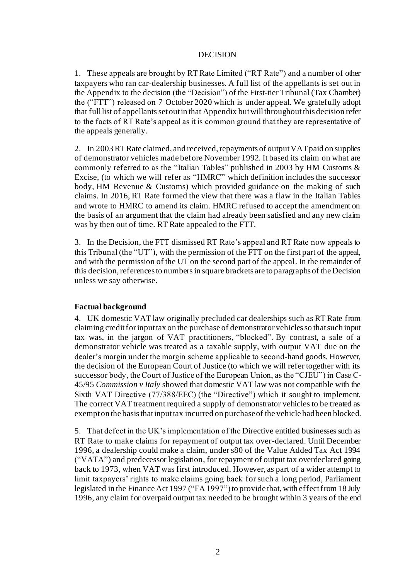#### DECISION

1. These appeals are brought by RT Rate Limited ("RT Rate") and a number of other taxpayers who ran car-dealership businesses. A full list of the appellants is set out in the Appendix to the decision (the "Decision") of the First-tier Tribunal (Tax Chamber) the ("FTT") released on 7 October 2020 which is under appeal. We gratefully adopt that full list of appellants set out in that Appendix butwill throughoutthis decision refer to the facts of RT Rate's appeal as it is common ground that they are representative of the appeals generally.

2. In 2003 RT Rate claimed, and received, repayments of output VAT paid on supplies of demonstrator vehicles made before November 1992. It based its claim on what are commonly referred to as the "Italian Tables" published in 2003 by HM Customs & Excise, (to which we will refer as "HMRC" which definition includes the successor body, HM Revenue & Customs) which provided guidance on the making of such claims. In 2016, RT Rate formed the view that there was a flaw in the Italian Tables and wrote to HMRC to amend its claim. HMRC refused to accept the amendment on the basis of an argument that the claim had already been satisfied and any new claim was by then out of time. RT Rate appealed to the FTT.

3. In the Decision, the FTT dismissed RT Rate's appeal and RT Rate now appeals to this Tribunal (the "UT"), with the permission of the FTT on the first part of the appeal, and with the permission of the UT on the second part of the appeal. In the remainder of this decision, references to numbers in square brackets are to paragraphs of the Decision unless we say otherwise.

## **Factual background**

4. UK domestic VAT law originally precluded car dealerships such as RT Rate from claiming credit for input tax on the purchase of demonstrator vehicles so that such input tax was, in the jargon of VAT practitioners, "blocked". By contrast, a sale of a demonstrator vehicle was treated as a taxable supply, with output VAT due on the dealer's margin under the margin scheme applicable to second-hand goods. However, the decision of the European Court of Justice (to which we will refer together with its successor body, the Court of Justice of the European Union, as the "CJEU") in Case C-45/95 *Commission v Italy* showed that domestic VAT law was not compatible with the Sixth VAT Directive (77/388/EEC) (the "Directive") which it sought to implement. The correct VAT treatment required a supply of demonstrator vehicles to be treated as exempt on the basis that input tax incurred on purchase of the vehicle had been blocked.

<span id="page-1-0"></span>5. That defect in the UK's implementation of the Directive entitled businesses such as RT Rate to make claims for repayment of output tax over-declared. Until December 1996, a dealership could make a claim, under s80 of the Value Added Tax Act 1994 ("VATA") and predecessor legislation, for repayment of output tax overdeclared going back to 1973, when VAT was first introduced. However, as part of a wider attempt to limit taxpayers' rights to make claims going back for such a long period, Parliament legislated in the Finance Act 1997 ("FA 1997") to provide that, with effect from 18 July 1996, any claim for overpaid output tax needed to be brought within 3 years of the end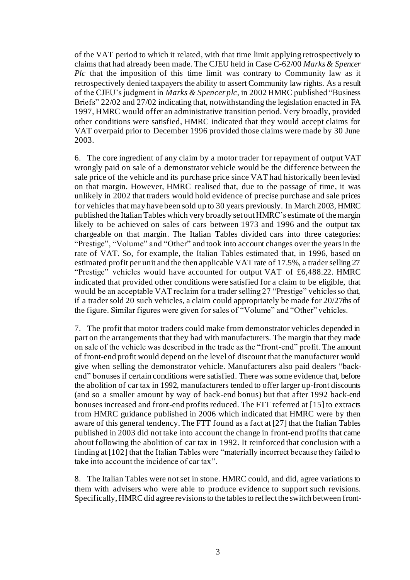of the VAT period to which it related, with that time limit applying retrospectively to claims that had already been made. The CJEU held in Case C-62/00 *Marks & Spencer Plc* that the imposition of this time limit was contrary to Community law as it retrospectively denied taxpayers the ability to assert Community law rights. As a result of the CJEU's judgment in *Marks & Spencer plc*, in 2002 HMRC published "Business Briefs" 22/02 and 27/02 indicating that, notwithstanding the legislation enacted in FA 1997, HMRC would offer an administrative transition period. Very broadly, provided other conditions were satisfied, HMRC indicated that they would accept claims for VAT overpaid prior to December 1996 provided those claims were made by 30 June 2003.

6. The core ingredient of any claim by a motor trader for repayment of output VAT wrongly paid on sale of a demonstrator vehicle would be the difference between the sale price of the vehicle and its purchase price since VAT had historically been levied on that margin. However, HMRC realised that, due to the passage of time, it was unlikely in 2002 that traders would hold evidence of precise purchase and sale prices for vehicles that may have been sold up to 30 years previously. In March 2003, HMRC published the Italian Tables which very broadly set out HMRC's estimate of the margin likely to be achieved on sales of cars between 1973 and 1996 and the output tax chargeable on that margin. The Italian Tables divided cars into three categories: "Prestige", "Volume" and "Other" and took into account changes over the years in the rate of VAT. So, for example, the Italian Tables estimated that, in 1996, based on estimated profit per unit and the then applicable VAT rate of 17.5%, a trader selling 27 "Prestige" vehicles would have accounted for output VAT of £6,488.22. HMRC indicated that provided other conditions were satisfied for a claim to be eligible, that would be an acceptable VAT reclaim for a trader selling 27 "Prestige" vehicles so that, if a trader sold 20 such vehicles, a claim could appropriately be made for 20/27ths of the figure. Similar figures were given for sales of "Volume" and "Other" vehicles.

7. The profit that motor traders could make from demonstrator vehicles depended in part on the arrangements that they had with manufacturers. The margin that they made on sale of the vehicle was described in the trade as the "front-end" profit. The amount of front-end profit would depend on the level of discount that the manufacturer would give when selling the demonstrator vehicle. Manufacturers also paid dealers "backend" bonuses if certain conditions were satisfied. There was some evidence that, before the abolition of car tax in 1992, manufacturers tended to offer larger up-front discounts (and so a smaller amount by way of back-end bonus) but that after 1992 back-end bonuses increased and front-end profits reduced. The FTT referred at [15] to extracts from HMRC guidance published in 2006 which indicated that HMRC were by then aware of this general tendency. The FTT found as a fact at [27] that the Italian Tables published in 2003 did not take into account the change in front-end profits that came about following the abolition of car tax in 1992. It reinforced that conclusion with a finding at [102] that the Italian Tables were "materially incorrect because they failed to take into account the incidence of car tax".

<span id="page-2-0"></span>8. The Italian Tables were not set in stone. HMRC could, and did, agree variations to them with advisers who were able to produce evidence to support such revisions. Specifically, HMRC did agree revisions to the tables to reflect the switch between front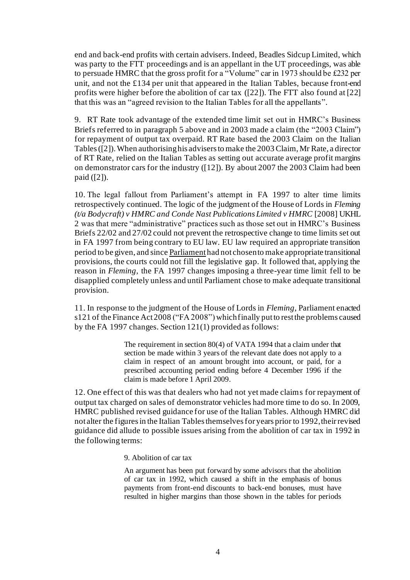end and back-end profits with certain advisers. Indeed, Beadles Sidcup Limited, which was party to the FTT proceedings and is an appellant in the UT proceedings, was able to persuade HMRC that the gross profit for a "Volume" car in 1973 should be £232 per unit, and not the £134 per unit that appeared in the Italian Tables, because front-end profits were higher before the abolition of car tax ([22]). The FTT also found at [22] that this was an "agreed revision to the Italian Tables for all the appellants".

9. RT Rate took advantage of the extended time limit set out in HMRC's Business Briefs referred to in paragrap[h 5](#page-1-0) above and in 2003 made a claim (the "2003 Claim") for repayment of output tax overpaid. RT Rate based the 2003 Claim on the Italian Tables([2]).When authorising his advisers to make the 2003 Claim, Mr Rate, a director of RT Rate, relied on the Italian Tables as setting out accurate average profit margins on demonstrator cars for the industry ([12]). By about 2007 the 2003 Claim had been paid ([2]).

10. The legal fallout from Parliament's attempt in FA 1997 to alter time limits retrospectively continued. The logic of the judgment of the House of Lords in *Fleming (t/a Bodycraft) v HMRC and Conde Nast Publications Limited v HMRC* [2008] UKHL 2 was that mere "administrative" practices such as those set out in HMRC's Business Briefs 22/02 and 27/02 could not prevent the retrospective change to time limits set out in FA 1997 from being contrary to EU law. EU law required an appropriate transition period to be given, and since Parliament had not chosen to make appropriate transitional provisions, the courts could not fill the legislative gap. It followed that, applying the reason in *Fleming*, the FA 1997 changes imposing a three-year time limit fell to be disapplied completely unless and until Parliament chose to make adequate transitional provision.

11. In response to the judgment of the House of Lords in *Fleming*, Parliament enacted s121 of the Finance Act 2008 ("FA 2008") which finally put to rest the problems caused by the FA 1997 changes. Section 121(1) provided as follows:

> The requirement in section 80(4) of VATA 1994 that a claim under that section be made within 3 years of the relevant date does not apply to a claim in respect of an amount brought into account, or paid, for a prescribed accounting period ending before 4 December 1996 if the claim is made before 1 April 2009.

12. One effect of this was that dealers who had not yet made claims for repayment of output tax charged on sales of demonstrator vehicles had more time to do so. In 2009, HMRC published revised guidance for use of the Italian Tables. Although HMRC did not alter the figures in the Italian Tables themselves for years prior to 1992, their revised guidance did allude to possible issues arising from the abolition of car tax in 1992 in the following terms:

9. Abolition of car tax

An argument has been put forward by some advisors that the abolition of car tax in 1992, which caused a shift in the emphasis of bonus payments from front-end discounts to back-end bonuses, must have resulted in higher margins than those shown in the tables for periods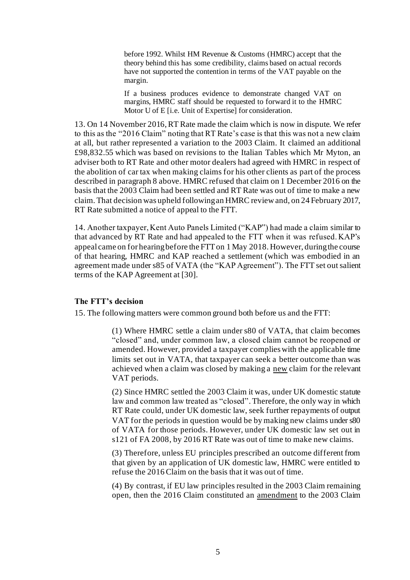before 1992. Whilst HM Revenue & Customs (HMRC) accept that the theory behind this has some credibility, claims based on actual records have not supported the contention in terms of the VAT payable on the margin.

If a business produces evidence to demonstrate changed VAT on margins, HMRC staff should be requested to forward it to the HMRC Motor U of E [i.e. Unit of Expertise] for consideration.

13. On 14 November 2016, RT Rate made the claim which is now in dispute. We refer to this as the "2016 Claim" noting that RT Rate's case is that this was not a new claim at all, but rather represented a variation to the 2003 Claim. It claimed an additional £98,832.55 which was based on revisions to the Italian Tables which Mr Myton, an adviser both to RT Rate and other motor dealers had agreed with HMRC in respect of the abolition of car tax when making claims for his other clients as part of the process described in paragrap[h 8](#page-2-0) above. HMRC refused that claim on 1 December 2016 on the basis that the 2003 Claim had been settled and RT Rate was out of time to make a new claim. That decision was upheld following an HMRC review and, on 24 February 2017, RT Rate submitted a notice of appeal to the FTT.

14. Another taxpayer, Kent Auto Panels Limited ("KAP") had made a claim similar to that advanced by RT Rate and had appealed to the FTT when it was refused. KAP's appeal came on for hearing before the FTT on 1 May 2018. However, during the course of that hearing, HMRC and KAP reached a settlement (which was embodied in an agreement made under s85 of VATA (the "KAP Agreement"). The FTT set out salient terms of the KAP Agreement at [30].

#### **The FTT's decision**

15. The following matters were common ground both before us and the FTT:

(1) Where HMRC settle a claim under s80 of VATA, that claim becomes "closed" and, under common law, a closed claim cannot be reopened or amended. However, provided a taxpayer complies with the applicable time limits set out in VATA, that taxpayer can seek a better outcome than was achieved when a claim was closed by making a new claim for the relevant VAT periods.

(2) Since HMRC settled the 2003 Claim it was, under UK domestic statute law and common law treated as "closed". Therefore, the only way in which RT Rate could, under UK domestic law, seek further repayments of output VAT for the periods in question would be by making new claims under s80 of VATA for those periods. However, under UK domestic law set out in s121 of FA 2008, by 2016 RT Rate was out of time to make new claims.

(3) Therefore, unless EU principles prescribed an outcome different from that given by an application of UK domestic law, HMRC were entitled to refuse the 2016 Claim on the basis that it was out of time.

(4) By contrast, if EU law principles resulted in the 2003 Claim remaining open, then the 2016 Claim constituted an amendment to the 2003 Claim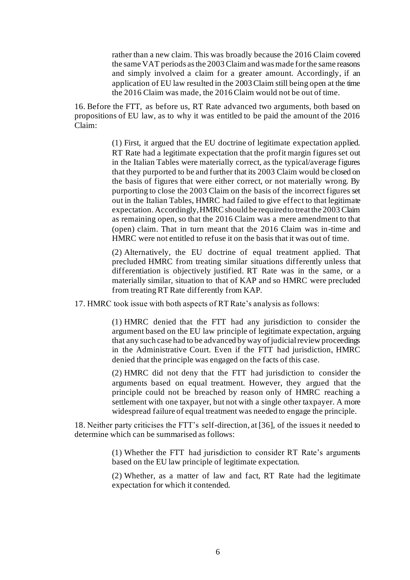rather than a new claim. This was broadly because the 2016 Claim covered the same VAT periods as the 2003 Claim and was made for the same reasons and simply involved a claim for a greater amount. Accordingly, if an application of EU law resulted in the 2003 Claim still being open at the time the 2016 Claim was made, the 2016 Claim would not be out of time.

16. Before the FTT, as before us, RT Rate advanced two arguments, both based on propositions of EU law, as to why it was entitled to be paid the amount of the 2016 Claim:

> (1) First, it argued that the EU doctrine of legitimate expectation applied. RT Rate had a legitimate expectation that the profit margin figures set out in the Italian Tables were materially correct, as the typical/average figures that they purported to be and further that its 2003 Claim would be closed on the basis of figures that were either correct, or not materially wrong. By purporting to close the 2003 Claim on the basis of the incorrect figures set out in the Italian Tables, HMRC had failed to give effect to that legitimate expectation. Accordingly, HMRC should be required to treat the 2003 Claim as remaining open, so that the 2016 Claim was a mere amendment to that (open) claim. That in turn meant that the 2016 Claim was in-time and HMRC were not entitled to refuse it on the basis that it was out of time.

> (2) Alternatively, the EU doctrine of equal treatment applied. That precluded HMRC from treating similar situations differently unless that differentiation is objectively justified. RT Rate was in the same, or a materially similar, situation to that of KAP and so HMRC were precluded from treating RT Rate differently from KAP.

17. HMRC took issue with both aspects of RT Rate's analysis as follows:

(1) HMRC denied that the FTT had any jurisdiction to consider the argument based on the EU law principle of legitimate expectation, arguing that any such case had to be advanced by way of judicial review proceedings in the Administrative Court. Even if the FTT had jurisdiction, HMRC denied that the principle was engaged on the facts of this case.

(2) HMRC did not deny that the FTT had jurisdiction to consider the arguments based on equal treatment. However, they argued that the principle could not be breached by reason only of HMRC reaching a settlement with one taxpayer, but not with a single other taxpayer. A more widespread failure of equal treatment was needed to engage the principle.

18. Neither party criticises the FTT's self-direction, at [36], of the issues it needed to determine which can be summarised as follows:

> (1) Whether the FTT had jurisdiction to consider RT Rate's arguments based on the EU law principle of legitimate expectation.

> (2) Whether, as a matter of law and fact, RT Rate had the legitimate expectation for which it contended.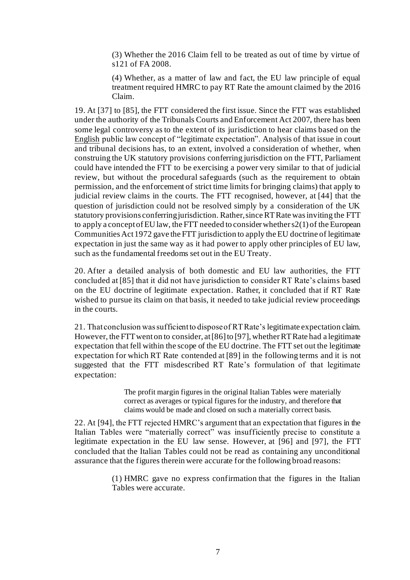(3) Whether the 2016 Claim fell to be treated as out of time by virtue of s121 of FA 2008.

(4) Whether, as a matter of law and fact, the EU law principle of equal treatment required HMRC to pay RT Rate the amount claimed by the 2016 Claim.

19. At [37] to [85], the FTT considered the first issue. Since the FTT was established under the authority of the Tribunals Courts and Enforcement Act 2007, there has been some legal controversy as to the extent of its jurisdiction to hear claims based on the English public law concept of "legitimate expectation". Analysis of that issue in court and tribunal decisions has, to an extent, involved a consideration of whether, when construing the UK statutory provisions conferring jurisdiction on the FTT, Parliament could have intended the FTT to be exercising a power very similar to that of judicial review, but without the procedural safeguards (such as the requirement to obtain permission, and the enforcement of strict time limits for bringing claims) that apply to judicial review claims in the courts. The FTT recognised, however, at [44] that the question of jurisdiction could not be resolved simply by a consideration of the UK statutory provisions conferring jurisdiction. Rather, since RT Rate was inviting the FTT to apply a concept of EU law, the FTT needed to consider whether s2(1) of the European Communities Act 1972 gave the FTT jurisdiction to apply the EU doctrine of legitimate expectation in just the same way as it had power to apply other principles of EU law, such as the fundamental freedoms set out in the EU Treaty.

20. After a detailed analysis of both domestic and EU law authorities, the FTT concluded at [85] that it did not have jurisdiction to consider RT Rate's claims based on the EU doctrine of legitimate expectation. Rather, it concluded that if RT Rate wished to pursue its claim on that basis, it needed to take judicial review proceedings in the courts.

21. That conclusion was sufficient to dispose of RT Rate's legitimate expectation claim. However, the FTT went on to consider, at [86] to [97], whether RT Rate had a legitimate expectation that fell within the scope of the EU doctrine. The FTT set out the legitimate expectation for which RT Rate contended at [89] in the following terms and it is not suggested that the FTT misdescribed RT Rate's formulation of that legitimate expectation:

> The profit margin figures in the original Italian Tables were materially correct as averages or typical figures for the industry, and therefore that claims would be made and closed on such a materially correct basis.

22. At [94], the FTT rejected HMRC's argument that an expectation that figures in the Italian Tables were "materially correct" was insufficiently precise to constitute a legitimate expectation in the EU law sense. However, at [96] and [97], the FTT concluded that the Italian Tables could not be read as containing any unconditional assurance that the figures therein were accurate for the following broad reasons:

> (1) HMRC gave no express confirmation that the figures in the Italian Tables were accurate.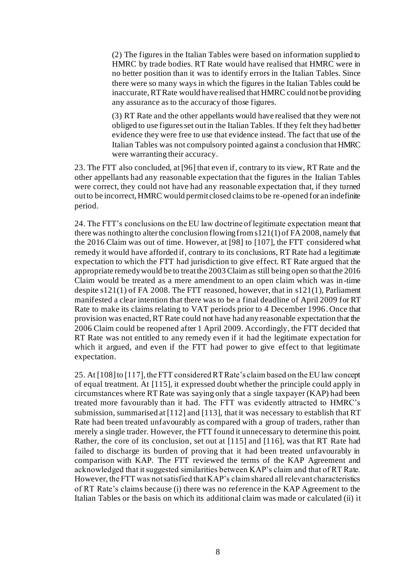(2) The figures in the Italian Tables were based on information supplied to HMRC by trade bodies. RT Rate would have realised that HMRC were in no better position than it was to identify errors in the Italian Tables. Since there were so many ways in which the figures in the Italian Tables could be inaccurate, RT Rate would have realised that HMRC could not be providing any assurance as to the accuracy of those figures.

(3) RT Rate and the other appellants would have realised that they were not obliged to use figures set out in the Italian Tables. If they felt they had better evidence they were free to use that evidence instead. The fact that use of the Italian Tables was not compulsory pointed against a conclusion that HMRC were warranting their accuracy.

23. The FTT also concluded, at [96] that even if, contrary to its view, RT Rate and the other appellants had any reasonable expectation that the figures in the Italian Tables were correct, they could not have had any reasonable expectation that, if they turned out to be incorrect, HMRC would permit closed claims to be re-opened for an indefinite period.

24. The FTT's conclusions on the EU law doctrine of legitimate expectation meant that there was nothing to alter the conclusion flowing from s121(1) of FA 2008, namely that the 2016 Claim was out of time. However, at [98] to [107], the FTT considered what remedy it would have afforded if, contrary to its conclusions, RT Rate had a legitimate expectation to which the FTT had jurisdiction to give effect. RT Rate argued that the appropriate remedy would be to treat the 2003 Claim as still being open so that the 2016 Claim would be treated as a mere amendment to an open claim which was in-time despite s121(1) of FA 2008. The FTT reasoned, however, that in s121(1), Parliament manifested a clear intention that there was to be a final deadline of April 2009 for RT Rate to make its claims relating to VAT periods prior to 4 December 1996. Once that provision was enacted, RT Rate could not have had any reasonable expectation that the 2006 Claim could be reopened after 1 April 2009. Accordingly, the FTT decided that RT Rate was not entitled to any remedy even if it had the legitimate expectation for which it argued, and even if the FTT had power to give effect to that legitimate expectation.

25. At [108] to [117], the FTT considered RT Rate's claim based on the EU law concept of equal treatment. At [115], it expressed doubt whether the principle could apply in circumstances where RT Rate was saying only that a single taxpayer (KAP) had been treated more favourably than it had. The FTT was evidently attracted to HMRC's submission, summarised at [112] and [113], that it was necessary to establish that RT Rate had been treated unfavourably as compared with a group of traders, rather than merely a single trader. However, the FTT found it unnecessary to determine this point. Rather, the core of its conclusion, set out at [115] and [116], was that RT Rate had failed to discharge its burden of proving that it had been treated unfavourably in comparison with KAP. The FTT reviewed the terms of the KAP Agreement and acknowledged that it suggested similarities between KAP's claim and that of RT Rate. However, the FTT was not satisfied that KAP's claim shared all relevant characteristics of RT Rate's claims because (i) there was no reference in the KAP Agreement to the Italian Tables or the basis on which its additional claim was made or calculated (ii) it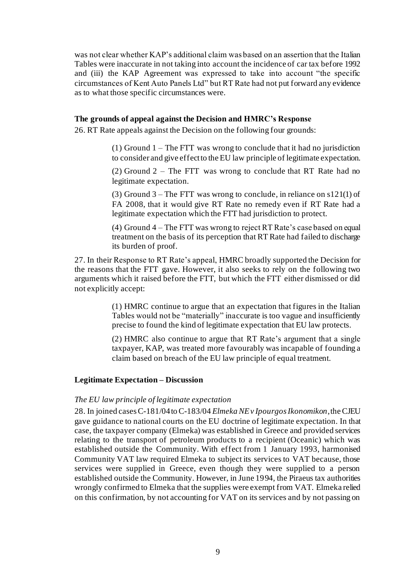was not clear whether KAP's additional claim was based on an assertion that the Italian Tables were inaccurate in not taking into account the incidence of car tax before 1992 and (iii) the KAP Agreement was expressed to take into account "the specific circumstances of Kent Auto Panels Ltd" but RT Rate had not put forward any evidence as to what those specific circumstances were.

#### **The grounds of appeal against the Decision and HMRC's Response**

26. RT Rate appeals against the Decision on the following four grounds:

(1) Ground  $1$  – The FTT was wrong to conclude that it had no jurisdiction to consider and give effect to the EU law principle of legitimate expectation.

(2) Ground 2 – The FTT was wrong to conclude that RT Rate had no legitimate expectation.

(3) Ground 3 – The FTT was wrong to conclude, in reliance on s121(1) of FA 2008, that it would give RT Rate no remedy even if RT Rate had a legitimate expectation which the FTT had jurisdiction to protect.

(4) Ground 4 – The FTT was wrong to reject RT Rate's case based on equal treatment on the basis of its perception that RT Rate had failed to discharge its burden of proof.

27. In their Response to RT Rate's appeal, HMRC broadly supported the Decision for the reasons that the FTT gave. However, it also seeks to rely on the following two arguments which it raised before the FTT, but which the FTT either dismissed or did not explicitly accept:

> <span id="page-8-0"></span>(1) HMRC continue to argue that an expectation that figures in the Italian Tables would not be "materially" inaccurate is too vague and insufficiently precise to found the kind of legitimate expectation that EU law protects.

> (2) HMRC also continue to argue that RT Rate's argument that a single taxpayer, KAP, was treated more favourably was incapable of founding a claim based on breach of the EU law principle of equal treatment.

#### **Legitimate Expectation – Discussion**

#### *The EU law principle of legitimate expectation*

28. In joined cases C-181/04 to C-183/04 *Elmeka NE v Ipourgos Ikonomikon*, the CJEU gave guidance to national courts on the EU doctrine of legitimate expectation. In that case, the taxpayer company (Elmeka) was established in Greece and provided services relating to the transport of petroleum products to a recipient (Oceanic) which was established outside the Community. With effect from 1 January 1993, harmonised Community VAT law required Elmeka to subject its services to VAT because, those services were supplied in Greece, even though they were supplied to a person established outside the Community. However, in June 1994, the Piraeus tax authorities wrongly confirmed to Elmeka that the supplies were exempt from VAT. Elmeka relied on this confirmation, by not accounting for VAT on its services and by not passing on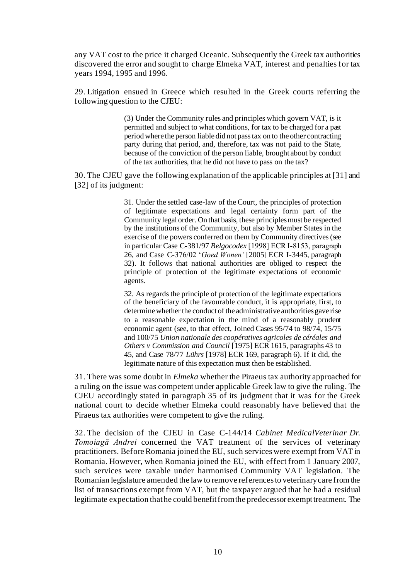any VAT cost to the price it charged Oceanic. Subsequently the Greek tax authorities discovered the error and sought to charge Elmeka VAT, interest and penalties for tax years 1994, 1995 and 1996.

29. Litigation ensued in Greece which resulted in the Greek courts referring the following question to the CJEU:

> (3) Under the Community rules and principles which govern VAT, is it permitted and subject to what conditions, for tax to be charged for a past period where the person liable did not pass tax on to the other contracting party during that period, and, therefore, tax was not paid to the State, because of the conviction of the person liable, brought about by conduct of the tax authorities, that he did not have to pass on the tax?

30. The CJEU gave the following explanation of the applicable principles at [31] and [32] of its judgment:

> 31. Under the settled case-law of the Court, the principles of protection of legitimate expectations and legal certainty form part of the Community legal order. On that basis, these principles must be respected by the institutions of the Community, but also by Member States in the exercise of the powers conferred on them by Community directives (see in particular Case C-381/97 *Belgocodex* [1998] ECR I‑8153, paragraph 26, and Case C-376/02 '*Goed Wonen'* [2005] ECR I-3445, paragraph 32). It follows that national authorities are obliged to respect the principle of protection of the legitimate expectations of economic agents.

> 32. As regards the principle of protection of the legitimate expectations of the beneficiary of the favourable conduct, it is appropriate, first, to determine whether the conduct of the administrative authorities gave rise to a reasonable expectation in the mind of a reasonably prudent economic agent (see, to that effect, Joined Cases 95/74 to 98/74, 15/75 and 100/75 *Union nationale des coopératives agricoles de céréales and Others v Commission and Council* [1975] ECR 1615, paragraphs 43 to 45, and Case 78/77 *Lührs* [1978] ECR 169, paragraph 6). If it did, the legitimate nature of this expectation must then be established.

31. There was some doubt in *Elmeka* whether the Piraeus tax authority approached for a ruling on the issue was competent under applicable Greek law to give the ruling. The CJEU accordingly stated in paragraph 35 of its judgment that it was for the Greek national court to decide whether Elmeka could reasonably have believed that the Piraeus tax authorities were competent to give the ruling.

32. The decision of the CJEU in Case C-144/14 *Cabinet MedicalVeterinar Dr. Tomoiagă Andrei* concerned the VAT treatment of the services of veterinary practitioners. Before Romania joined the EU, such services were exempt from VAT in Romania. However, when Romania joined the EU, with effect from 1 January 2007, such services were taxable under harmonised Community VAT legislation. The Romanian legislature amended the law to remove references to veterinary care from the list of transactions exempt from VAT, but the taxpayer argued that he had a residual legitimate expectation that he could benefit from the predecessor exempt treatment. The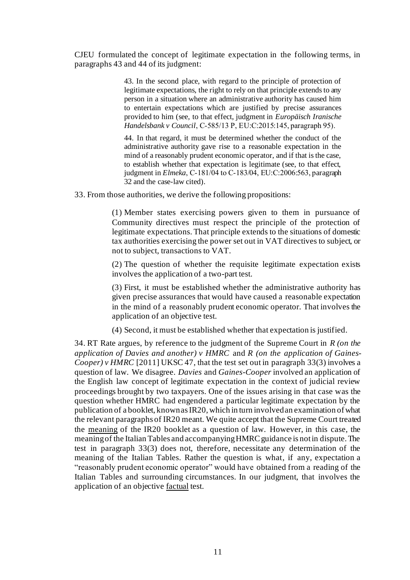CJEU formulated the concept of legitimate expectation in the following terms, in paragraphs 43 and 44 of its judgment:

> 43. In the second place, with regard to the principle of protection of legitimate expectations, the right to rely on that principle extends to any person in a situation where an administrative authority has caused him to entertain expectations which are justified by precise assurances provided to him (see, to that effect, judgment in *Europäisch Iranische Handelsbank v Council*, C‑585/13 P, EU:C:2015:145, paragraph 95).

> 44. In that regard, it must be determined whether the conduct of the administrative authority gave rise to a reasonable expectation in the mind of a reasonably prudent economic operator, and if that is the case, to establish whether that expectation is legitimate (see, to that effect, judgment in *Elmeka*, C‑181/04 to C‑183/04, EU:C:2006:563, paragraph 32 and the case-law cited).

33. From those authorities, we derive the following propositions:

(1) Member states exercising powers given to them in pursuance of Community directives must respect the principle of the protection of legitimate expectations. That principle extends to the situations of domestic tax authorities exercising the power set out in VAT directives to subject, or not to subject, transactions to VAT.

(2) The question of whether the requisite legitimate expectation exists involves the application of a two-part test.

<span id="page-10-0"></span>(3) First, it must be established whether the administrative authority has given precise assurances that would have caused a reasonable expectation in the mind of a reasonably prudent economic operator. That involves the application of an objective test.

(4) Second, it must be established whether that expectation is justified.

34. RT Rate argues, by reference to the judgment of the Supreme Court in *R (on the application of Davies and another) v HMRC* and *R (on the application of Gaines-Cooper*) *v HMRC* [2011] UKSC 47, that the test set out in paragrap[h 33\(3\)](#page-10-0) involves a question of law. We disagree. *Davies* and *Gaines-Cooper* involved an application of the English law concept of legitimate expectation in the context of judicial review proceedings brought by two taxpayers. One of the issues arising in that case was the question whether HMRC had engendered a particular legitimate expectation by the publication of a booklet, known as IR20, which in turn involved an examination of what the relevant paragraphs of IR20 meant. We quite accept that the Supreme Court treated the meaning of the IR20 booklet as a question of law. However, in this case, the meaning of the Italian Tables and accompanying HMRC guidance is not in dispute. The test in paragraph [33\(3\)](#page-10-0) does not, therefore, necessitate any determination of the meaning of the Italian Tables. Rather the question is what, if any, expectation a "reasonably prudent economic operator" would have obtained from a reading of the Italian Tables and surrounding circumstances. In our judgment, that involves the application of an objective factual test.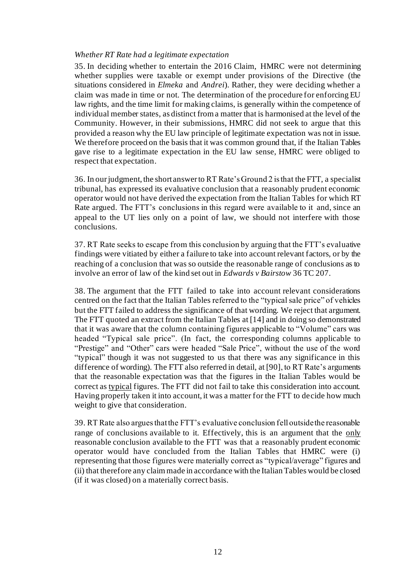#### *Whether RT Rate had a legitimate expectation*

35. In deciding whether to entertain the 2016 Claim, HMRC were not determining whether supplies were taxable or exempt under provisions of the Directive (the situations considered in *Elmeka* and *Andrei*). Rather, they were deciding whether a claim was made in time or not. The determination of the procedure for enforcing EU law rights, and the time limit for making claims, is generally within the competence of individual member states, as distinct from a matter that is harmonised at the level of the Community. However, in their submissions, HMRC did not seek to argue that this provided a reason why the EU law principle of legitimate expectation was not in issue. We therefore proceed on the basis that it was common ground that, if the Italian Tables gave rise to a legitimate expectation in the EU law sense, HMRC were obliged to respect that expectation.

36. In our judgment, the short answer to RT Rate's Ground 2 is that the FTT, a specialist tribunal, has expressed its evaluative conclusion that a reasonably prudent economic operator would not have derived the expectation from the Italian Tables for which RT Rate argued. The FTT's conclusions in this regard were available to it and, since an appeal to the UT lies only on a point of law, we should not interfere with those conclusions.

37. RT Rate seeks to escape from this conclusion by arguing that the FTT's evaluative findings were vitiated by either a failure to take into account relevant factors, or by the reaching of a conclusion that was so outside the reasonable range of conclusions as to involve an error of law of the kind set out in *Edwards v Bairstow* 36 TC 207.

38. The argument that the FTT failed to take into account relevant considerations centred on the fact that the Italian Tables referred to the "typical sale price" of vehicles but the FTT failed to address the significance of that wording. We reject that argument. The FTT quoted an extract from the Italian Tables at [14] and in doing so demonstrated that it was aware that the column containing figures applicable to "Volume" cars was headed "Typical sale price". (In fact, the corresponding columns applicable to "Prestige" and "Other" cars were headed "Sale Price", without the use of the word "typical" though it was not suggested to us that there was any significance in this difference of wording). The FTT also referred in detail, at [90], to RT Rate's arguments that the reasonable expectation was that the figures in the Italian Tables would be correct as typical figures. The FTT did not fail to take this consideration into account. Having properly taken it into account, it was a matter for the FTT to decide how much weight to give that consideration.

39. RT Rate also argues that the FTT's evaluative conclusion fell outside the reasonable range of conclusions available to it. Effectively, this is an argument that the only reasonable conclusion available to the FTT was that a reasonably prudent economic operator would have concluded from the Italian Tables that HMRC were (i) representing that those figures were materially correct as "typical/average" figures and (ii) that therefore any claim made in accordance with the Italian Tables would be closed (if it was closed) on a materially correct basis.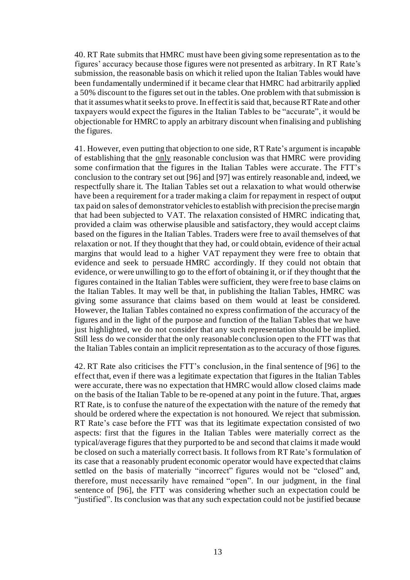40. RT Rate submits that HMRC must have been giving some representation as to the figures' accuracy because those figures were not presented as arbitrary. In RT Rate's submission, the reasonable basis on which it relied upon the Italian Tables would have been fundamentally undermined if it became clear that HMRC had arbitrarily applied a 50% discount to the figures set out in the tables. One problem with that submission is that it assumes what it seeks to prove. In effect it is said that, because RT Rate and other taxpayers would expect the figures in the Italian Tables to be "accurate", it would be objectionable for HMRC to apply an arbitrary discount when finalising and publishing the figures.

41. However, even putting that objection to one side, RT Rate's argument is incapable of establishing that the only reasonable conclusion was that HMRC were providing some confirmation that the figures in the Italian Tables were accurate. The FTT's conclusion to the contrary set out [96] and [97] was entirely reasonable and, indeed, we respectfully share it. The Italian Tables set out a relaxation to what would otherwise have been a requirement for a trader making a claim for repayment in respect of output tax paid on sales of demonstrator vehicles to establish with precision the precise margin that had been subjected to VAT. The relaxation consisted of HMRC indicating that, provided a claim was otherwise plausible and satisfactory, they would accept claims based on the figures in the Italian Tables. Traders were free to avail themselves of that relaxation or not. If they thought that they had, or could obtain, evidence of their actual margins that would lead to a higher VAT repayment they were free to obtain that evidence and seek to persuade HMRC accordingly. If they could not obtain that evidence, or were unwilling to go to the effort of obtaining it, or if they thought that the figures contained in the Italian Tables were sufficient, they were free to base claims on the Italian Tables. It may well be that, in publishing the Italian Tables, HMRC was giving some assurance that claims based on them would at least be considered. However, the Italian Tables contained no express confirmation of the accuracy of the figures and in the light of the purpose and function of the Italian Tables that we have just highlighted, we do not consider that any such representation should be implied. Still less do we consider that the only reasonable conclusion open to the FTT was that the Italian Tables contain an implicit representation as to the accuracy of those figures.

42. RT Rate also criticises the FTT's conclusion, in the final sentence of [96] to the effect that, even if there was a legitimate expectation that figures in the Italian Tables were accurate, there was no expectation that HMRC would allow closed claims made on the basis of the Italian Table to be re-opened at any point in the future. That, argues RT Rate, is to confuse the nature of the expectation with the nature of the remedy that should be ordered where the expectation is not honoured. We reject that submission. RT Rate's case before the FTT was that its legitimate expectation consisted of two aspects: first that the figures in the Italian Tables were materially correct as the typical/average figures that they purported to be and second that claims it made would be closed on such a materially correct basis. It follows from RT Rate's formulation of its case that a reasonably prudent economic operator would have expected that claims settled on the basis of materially "incorrect" figures would not be "closed" and, therefore, must necessarily have remained "open". In our judgment, in the final sentence of [96], the FTT was considering whether such an expectation could be "justified". Its conclusion was that any such expectation could not be justified because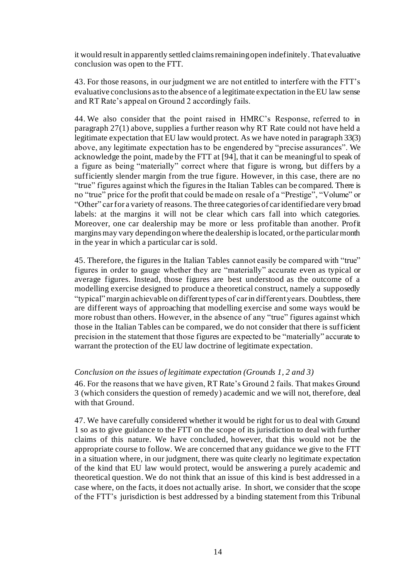it would result in apparently settled claims remaining open indefinitely. That evaluative conclusion was open to the FTT.

43. For those reasons, in our judgment we are not entitled to interfere with the FTT's evaluative conclusions as to the absence of a legitimate expectation in the EU law sense and RT Rate's appeal on Ground 2 accordingly fails.

44. We also consider that the point raised in HMRC's Response, referred to in paragrap[h 27\(1\)](#page-8-0) above, supplies a further reason why RT Rate could not have held a legitimate expectation that EU law would protect. As we have noted in paragrap[h 33\(3\)](#page-10-0) above, any legitimate expectation has to be engendered by "precise assurances". We acknowledge the point, made by the FTT at [94], that it can be meaningful to speak of a figure as being "materially" correct where that figure is wrong, but differs by a sufficiently slender margin from the true figure. However, in this case, there are no "true" figures against which the figures in the Italian Tables can be compared. There is no "true" price for the profit that could be made on resale of a "Prestige", "Volume" or "Other" car for a variety of reasons. The three categories of car identified are very broad labels: at the margins it will not be clear which cars fall into which categories. Moreover, one car dealership may be more or less profitable than another. Profit margins may vary depending on where the dealership is located, or the particular month in the year in which a particular car is sold.

45. Therefore, the figures in the Italian Tables cannot easily be compared with "true" figures in order to gauge whether they are "materially" accurate even as typical or average figures. Instead, those figures are best understood as the outcome of a modelling exercise designed to produce a theoretical construct, namely a supposedly "typical" margin achievable on different types of car in different years. Doubtless, there are different ways of approaching that modelling exercise and some ways would be more robust than others. However, in the absence of any "true" figures against which those in the Italian Tables can be compared, we do not consider that there is sufficient precision in the statement that those figures are expected to be "materially" accurate to warrant the protection of the EU law doctrine of legitimate expectation.

#### *Conclusion on the issues of legitimate expectation (Grounds 1, 2 and 3)*

46. For the reasons that we have given, RT Rate's Ground 2 fails. That makes Ground 3 (which considers the question of remedy) academic and we will not, therefore, deal with that Ground.

47. We have carefully considered whether it would be right for us to deal with Ground 1 so as to give guidance to the FTT on the scope of its jurisdiction to deal with further claims of this nature. We have concluded, however, that this would not be the appropriate course to follow. We are concerned that any guidance we give to the FTT in a situation where, in our judgment, there was quite clearly no legitimate expectation of the kind that EU law would protect, would be answering a purely academic and theoretical question. We do not think that an issue of this kind is best addressed in a case where, on the facts, it does not actually arise. In short, we consider that the scope of the FTT's jurisdiction is best addressed by a binding statement from this Tribunal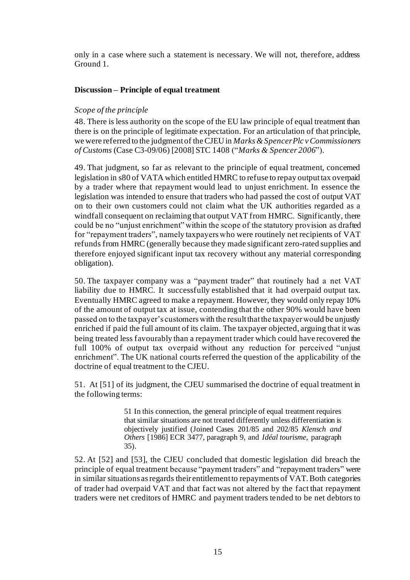only in a case where such a statement is necessary. We will not, therefore, address Ground 1.

### **Discussion – Principle of equal treatment**

### *Scope of the principle*

48. There is less authority on the scope of the EU law principle of equal treatment than there is on the principle of legitimate expectation. For an articulation of that principle, we were referred to the judgment of the CJEU in *Marks & Spencer Plc v Commissioners of Customs* (Case C3-09/06) [2008] STC 1408 ("*Marks & Spencer 2006*").

49. That judgment, so far as relevant to the principle of equal treatment, concerned legislation in s80 of VATA which entitled HMRC to refuse to repay output tax overpaid by a trader where that repayment would lead to unjust enrichment. In essence the legislation was intended to ensure that traders who had passed the cost of output VAT on to their own customers could not claim what the UK authorities regarded as a windfall consequent on reclaiming that output VAT from HMRC. Significantly, there could be no "unjust enrichment" within the scope of the statutory provision as drafted for "repayment traders", namely taxpayers who were routinely net recipients of VAT refunds from HMRC (generally because they made significant zero-rated supplies and therefore enjoyed significant input tax recovery without any material corresponding obligation).

50. The taxpayer company was a "payment trader" that routinely had a net VAT liability due to HMRC. It successfully established that it had overpaid output tax. Eventually HMRC agreed to make a repayment. However, they would only repay 10% of the amount of output tax at issue, contending that the other 90% would have been passed on to the taxpayer's customers with the result that the taxpayer would be unjustly enriched if paid the full amount of its claim. The taxpayer objected, arguing that it was being treated less favourably than a repayment trader which could have recovered the full 100% of output tax overpaid without any reduction for perceived "unjust enrichment". The UK national courts referred the question of the applicability of the doctrine of equal treatment to the CJEU.

51. At [51] of its judgment, the CJEU summarised the doctrine of equal treatment in the following terms:

> 51 In this connection, the general principle of equal treatment requires that similar situations are not treated differently unless differentiation is objectively justified (Joined Cases 201/85 and 202/85 *Klensch and Others* [1986] ECR 3477, paragraph 9, and *Idéal tourisme*, paragraph 35).

52. At [52] and [53], the CJEU concluded that domestic legislation did breach the principle of equal treatment because "payment traders" and "repayment traders" were in similar situations as regards their entitlement to repayments of VAT. Both categories of trader had overpaid VAT and that fact was not altered by the fact that repayment traders were net creditors of HMRC and payment traders tended to be net debtors to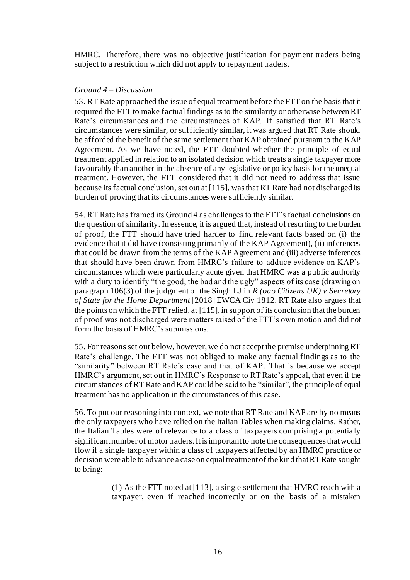HMRC. Therefore, there was no objective justification for payment traders being subject to a restriction which did not apply to repayment traders.

#### *Ground 4 – Discussion*

53. RT Rate approached the issue of equal treatment before the FTT on the basis that it required the FTT to make factual findings as to the similarity or otherwise between RT Rate's circumstances and the circumstances of KAP. If satisfied that RT Rate's circumstances were similar, or sufficiently similar, it was argued that RT Rate should be afforded the benefit of the same settlement that KAP obtained pursuant to the KAP Agreement. As we have noted, the FTT doubted whether the principle of equal treatment applied in relation to an isolated decision which treats a single taxpayer more favourably than another in the absence of any legislative or policy basis for the unequal treatment. However, the FTT considered that it did not need to address that issue because its factual conclusion, set out at [115], was that RT Rate had not discharged its burden of proving that its circumstances were sufficiently similar.

54. RT Rate has framed its Ground 4 as challenges to the FTT's factual conclusions on the question of similarity. In essence, it is argued that, instead of resorting to the burden of proof, the FTT should have tried harder to find relevant facts based on (i) the evidence that it did have (consisting primarily of the KAP Agreement), (ii) inferences that could be drawn from the terms of the KAP Agreement and (iii) adverse inferences that should have been drawn from HMRC's failure to adduce evidence on KAP's circumstances which were particularly acute given that HMRC was a public authority with a duty to identify "the good, the bad and the ugly" aspects of its case (drawing on paragraph 106(3) of the judgment of the Singh LJ in *R (oao Citizens UK) v Secretary of State for the Home Department* [2018] EWCA Civ 1812. RT Rate also argues that the points on which the FTT relied, at [115], in support of its conclusion that the burden of proof was not discharged were matters raised of the FTT's own motion and did not form the basis of HMRC's submissions.

55. For reasons set out below, however, we do not accept the premise underpinning RT Rate's challenge. The FTT was not obliged to make any factual findings as to the "similarity" between RT Rate's case and that of KAP. That is because we accept HMRC's argument, set out in HMRC's Response to RT Rate's appeal, that even if the circumstances of RT Rate and KAP could be said to be "similar", the principle of equal treatment has no application in the circumstances of this case.

56. To put our reasoning into context, we note that RT Rate and KAP are by no means the only taxpayers who have relied on the Italian Tables when making claims. Rather, the Italian Tables were of relevance to a class of taxpayers comprising a potentially significant number of motor traders. It is important to note the consequences that would flow if a single taxpayer within a class of taxpayers affected by an HMRC practice or decision were able to advance a case on equal treatment of the kind that RT Rate sought to bring:

> (1) As the FTT noted at [113], a single settlement that HMRC reach with a taxpayer, even if reached incorrectly or on the basis of a mistaken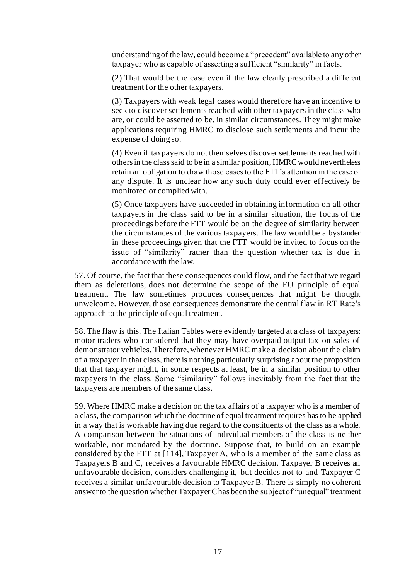understanding of the law, could become a "precedent" available to any other taxpayer who is capable of asserting a sufficient "similarity" in facts.

(2) That would be the case even if the law clearly prescribed a different treatment for the other taxpayers.

(3) Taxpayers with weak legal cases would therefore have an incentive to seek to discover settlements reached with other taxpayers in the class who are, or could be asserted to be, in similar circumstances. They might make applications requiring HMRC to disclose such settlements and incur the expense of doing so.

(4) Even if taxpayers do not themselves discover settlements reached with others in the class said to be in a similar position, HMRC would nevertheless retain an obligation to draw those cases to the FTT's attention in the case of any dispute. It is unclear how any such duty could ever effectively be monitored or complied with.

(5) Once taxpayers have succeeded in obtaining information on all other taxpayers in the class said to be in a similar situation, the focus of the proceedings before the FTT would be on the degree of similarity between the circumstances of the various taxpayers. The law would be a bystander in these proceedings given that the FTT would be invited to focus on the issue of "similarity" rather than the question whether tax is due in accordance with the law.

57. Of course, the fact that these consequences could flow, and the fact that we regard them as deleterious, does not determine the scope of the EU principle of equal treatment. The law sometimes produces consequences that might be thought unwelcome. However, those consequences demonstrate the central flaw in RT Rate's approach to the principle of equal treatment.

58. The flaw is this. The Italian Tables were evidently targeted at a class of taxpayers: motor traders who considered that they may have overpaid output tax on sales of demonstrator vehicles. Therefore, whenever HMRC make a decision about the claim of a taxpayer in that class, there is nothing particularly surprising about the proposition that that taxpayer might, in some respects at least, be in a similar position to other taxpayers in the class. Some "similarity" follows inevitably from the fact that the taxpayers are members of the same class.

59. Where HMRC make a decision on the tax affairs of a taxpayer who is a member of a class, the comparison which the doctrine of equal treatment requires has to be applied in a way that is workable having due regard to the constituents of the class as a whole. A comparison between the situations of individual members of the class is neither workable, nor mandated by the doctrine. Suppose that, to build on an example considered by the FTT at [114], Taxpayer A, who is a member of the same class as Taxpayers B and C, receives a favourable HMRC decision. Taxpayer B receives an unfavourable decision, considers challenging it, but decides not to and Taxpayer C receives a similar unfavourable decision to Taxpayer B. There is simply no coherent answer to the question whether Taxpayer C has been the subject of "unequal" treatment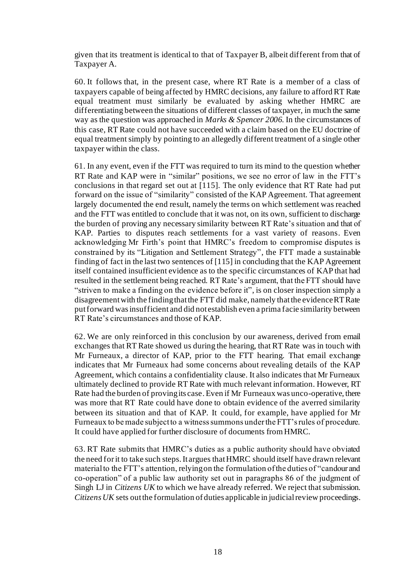given that its treatment is identical to that of Taxpayer B, albeit different from that of Taxpayer A.

60. It follows that, in the present case, where RT Rate is a member of a class of taxpayers capable of being affected by HMRC decisions, any failure to afford RT Rate equal treatment must similarly be evaluated by asking whether HMRC are differentiating between the situations of different classes of taxpayer, in much the same way as the question was approached in *Marks & Spencer 2006*. In the circumstances of this case, RT Rate could not have succeeded with a claim based on the EU doctrine of equal treatment simply by pointing to an allegedly different treatment of a single other taxpayer within the class.

61. In any event, even if the FTT was required to turn its mind to the question whether RT Rate and KAP were in "similar" positions, we see no error of law in the FTT's conclusions in that regard set out at [115]. The only evidence that RT Rate had put forward on the issue of "similarity" consisted of the KAP Agreement. That agreement largely documented the end result, namely the terms on which settlement was reached and the FTT was entitled to conclude that it was not, on its own, sufficient to discharge the burden of proving any necessary similarity between RT Rate's situation and that of KAP. Parties to disputes reach settlements for a vast variety of reasons. Even acknowledging Mr Firth's point that HMRC's freedom to compromise disputes is constrained by its "Litigation and Settlement Strategy", the FTT made a sustainable finding of fact in the last two sentences of [115] in concluding that the KAP Agreement itself contained insufficient evidence as to the specific circumstances of KAP that had resulted in the settlement being reached. RT Rate's argument, that the FTT should have "striven to make a finding on the evidence before it", is on closer inspection simply a disagreement with the finding that the FTT did make, namely that the evidence RT Rate put forward was insufficient and did not establish even a prima facie similarity between RT Rate's circumstances and those of KAP.

62. We are only reinforced in this conclusion by our awareness, derived from email exchanges that RT Rate showed us during the hearing, that RT Rate was in touch with Mr Furneaux, a director of KAP, prior to the FTT hearing. That email exchange indicates that Mr Furneaux had some concerns about revealing details of the KAP Agreement, which contains a confidentiality clause. It also indicates that Mr Furneaux ultimately declined to provide RT Rate with much relevant information. However, RT Rate had the burden of proving its case. Even if Mr Furneaux was unco-operative, there was more that RT Rate could have done to obtain evidence of the averred similarity between its situation and that of KAP. It could, for example, have applied for Mr Furneaux to be made subject to a witness summons under the FTT's rules of procedure. It could have applied for further disclosure of documents from HMRC.

63. RT Rate submits that HMRC's duties as a public authority should have obviated the need for it to take such steps. It argues that HMRC should itself have drawn relevant material to the FTT's attention, relying on the formulation of the duties of "candour and co-operation" of a public law authority set out in paragraphs 86 of the judgment of Singh LJ in *Citizens UK* to which we have already referred. We reject that submission. *Citizens UK* sets out the formulation of duties applicable in judicial review proceedings.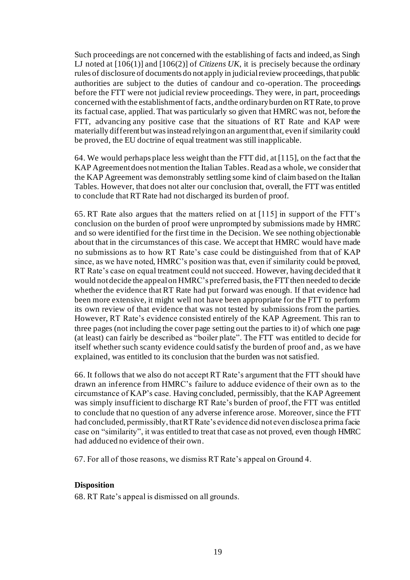Such proceedings are not concerned with the establishing of facts and indeed, as Singh LJ noted at [106(1)] and [106(2)] of *Citizens UK*, it is precisely because the ordinary rules of disclosure of documents do not apply in judicial review proceedings, that public authorities are subject to the duties of candour and co-operation. The proceedings before the FTT were not judicial review proceedings. They were, in part, proceedings concerned with the establishment of facts, and the ordinary burden on RT Rate, to prove its factual case, applied. That was particularly so given that HMRC was not, before the FTT, advancing any positive case that the situations of RT Rate and KAP were materially different but was instead relying on an argument that, even if similarity could be proved, the EU doctrine of equal treatment was still inapplicable.

64. We would perhaps place less weight than the FTT did, at [115], on the fact that the KAP Agreement does not mention the Italian Tables. Read as a whole, we consider that the KAP Agreement was demonstrably settling some kind of claim based on the Italian Tables. However, that does not alter our conclusion that, overall, the FTT was entitled to conclude that RT Rate had not discharged its burden of proof.

65. RT Rate also argues that the matters relied on at [115] in support of the FTT's conclusion on the burden of proof were unprompted by submissions made by HMRC and so were identified for the first time in the Decision. We see nothing objectionable about that in the circumstances of this case. We accept that HMRC would have made no submissions as to how RT Rate's case could be distinguished from that of KAP since, as we have noted, HMRC's position was that, even if similarity could be proved, RT Rate's case on equal treatment could not succeed. However, having decided that it would not decide the appeal on HMRC's preferred basis, the FTT then needed to decide whether the evidence that RT Rate had put forward was enough. If that evidence had been more extensive, it might well not have been appropriate for the FTT to perform its own review of that evidence that was not tested by submissions from the parties. However, RT Rate's evidence consisted entirely of the KAP Agreement. This ran to three pages (not including the cover page setting out the parties to it) of which one page (at least) can fairly be described as "boiler plate". The FTT was entitled to decide for itself whether such scanty evidence could satisfy the burden of proof and, as we have explained, was entitled to its conclusion that the burden was not satisfied.

66. It follows that we also do not accept RT Rate's argument that the FTT should have drawn an inference from HMRC's failure to adduce evidence of their own as to the circumstance of KAP's case. Having concluded, permissibly, that the KAP Agreement was simply insufficient to discharge RT Rate's burden of proof, the FTT was entitled to conclude that no question of any adverse inference arose. Moreover, since the FTT had concluded, permissibly, that RT Rate's evidence did not even disclose a prima facie case on "similarity", it was entitled to treat that case as not proved, even though HMRC had adduced no evidence of their own.

67. For all of those reasons, we dismiss RT Rate's appeal on Ground 4.

#### **Disposition**

68. RT Rate's appeal is dismissed on all grounds.